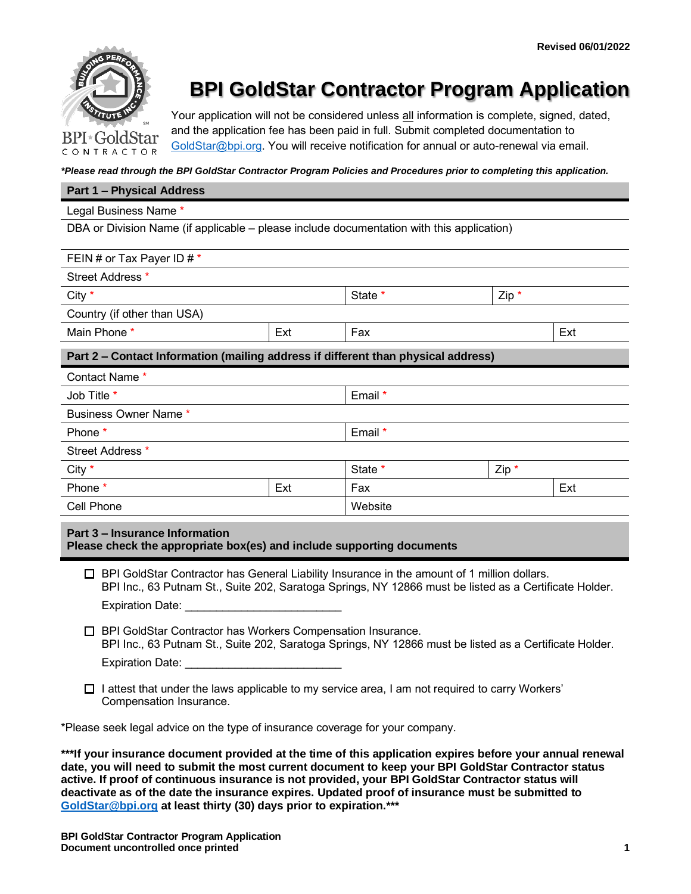

# **BPI GoldStar Contractor Program Application**

Your application will not be considered unless all information is complete, signed, dated, and the application fee has been paid in full. Submit completed documentation to [GoldStar@bpi.org.](mailto:GoldStar@bpi.org) You will receive notification for annual or auto-renewal via email.

*\*Please read through the BPI GoldStar Contractor Program Policies and Procedures prior to completing this application.*

#### **Part 1 – Physical Address**

#### Legal Business Name \*

DBA or Division Name (if applicable – please include documentation with this application)

| FEIN # or Tax Payer ID # *                                                        |         |            |         |  |  |  |
|-----------------------------------------------------------------------------------|---------|------------|---------|--|--|--|
| Street Address *                                                                  |         |            |         |  |  |  |
| City $*$                                                                          |         | State *    | $Zip *$ |  |  |  |
| Country (if other than USA)                                                       |         |            |         |  |  |  |
| Main Phone *                                                                      | Ext     | Fax<br>Ext |         |  |  |  |
| Part 2 - Contact Information (mailing address if different than physical address) |         |            |         |  |  |  |
| Contact Name *                                                                    |         |            |         |  |  |  |
| Job Title *                                                                       | Email * |            |         |  |  |  |
| Business Owner Name *                                                             |         |            |         |  |  |  |
| Phone *                                                                           | Email * |            |         |  |  |  |
| Street Address *                                                                  |         |            |         |  |  |  |
| City $*$                                                                          |         | State *    | $Zip *$ |  |  |  |
| Phone *                                                                           | Ext     | Ext<br>Fax |         |  |  |  |
| Cell Phone                                                                        | Website |            |         |  |  |  |
|                                                                                   |         |            |         |  |  |  |

# **Part 3 – Insurance Information**

**Please check the appropriate box(es) and include supporting documents**

- □ BPI GoldStar Contractor has General Liability Insurance in the amount of 1 million dollars. BPI Inc., 63 Putnam St., Suite 202, Saratoga Springs, NY 12866 must be listed as a Certificate Holder. Expiration Date:
- □ BPI GoldStar Contractor has Workers Compensation Insurance. BPI Inc., 63 Putnam St., Suite 202, Saratoga Springs, NY 12866 must be listed as a Certificate Holder.
	- Expiration Date:
- $\Box$  I attest that under the laws applicable to my service area, I am not required to carry Workers' Compensation Insurance.

\*Please seek legal advice on the type of insurance coverage for your company.

**\*\*\*If your insurance document provided at the time of this application expires before your annual renewal date, you will need to submit the most current document to keep your BPI GoldStar Contractor status active. If proof of continuous insurance is not provided, your BPI GoldStar Contractor status will deactivate as of the date the insurance expires. Updated proof of insurance must be submitted to [GoldStar@bpi.org](mailto:GoldStar@bpi.org) at least thirty (30) days prior to expiration.\*\*\***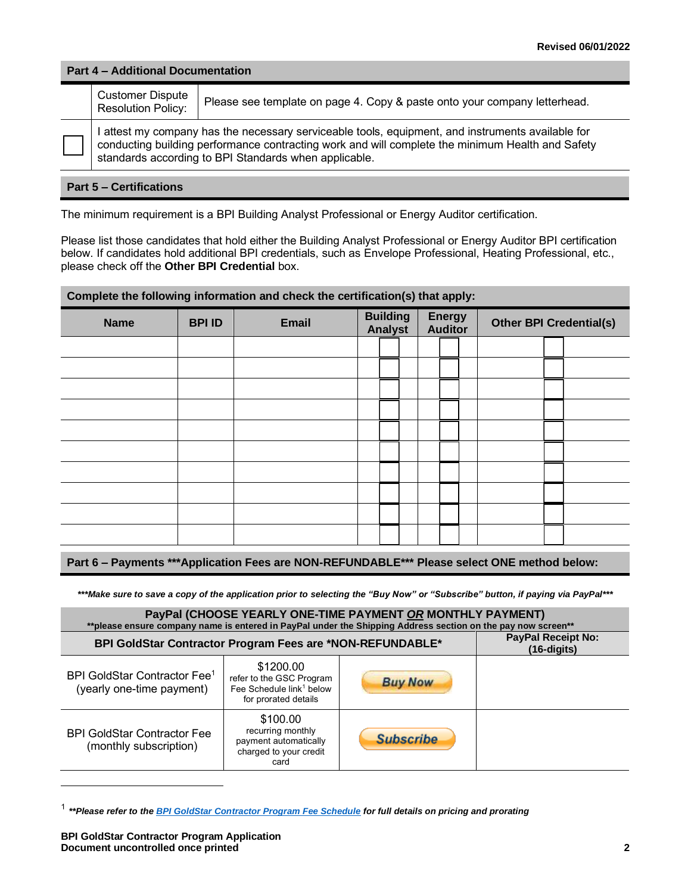### **Part 4 – Additional Documentation**

| <b>Customer Dispute</b><br><b>Resolution Policy:</b> | Please see template on page 4. Copy & paste onto your company letterhead.                                                                                                                                                                                      |
|------------------------------------------------------|----------------------------------------------------------------------------------------------------------------------------------------------------------------------------------------------------------------------------------------------------------------|
|                                                      | I attest my company has the necessary serviceable tools, equipment, and instruments available for<br>conducting building performance contracting work and will complete the minimum Health and Safety<br>standards according to BPI Standards when applicable. |

# **Part 5 – Certifications**

The minimum requirement is a BPI Building Analyst Professional or Energy Auditor certification.

Please list those candidates that hold either the Building Analyst Professional or Energy Auditor BPI certification below. If candidates hold additional BPI credentials, such as Envelope Professional, Heating Professional, etc., please check off the **Other BPI Credential** box.

| Complete the following information and check the certification(s) that apply: |               |              |                                   |  |                                 |  |                                |  |  |  |
|-------------------------------------------------------------------------------|---------------|--------------|-----------------------------------|--|---------------------------------|--|--------------------------------|--|--|--|
| <b>Name</b>                                                                   | <b>BPI ID</b> | <b>Email</b> | <b>Building</b><br><b>Analyst</b> |  | <b>Energy</b><br><b>Auditor</b> |  | <b>Other BPI Credential(s)</b> |  |  |  |
|                                                                               |               |              |                                   |  |                                 |  |                                |  |  |  |
|                                                                               |               |              |                                   |  |                                 |  |                                |  |  |  |
|                                                                               |               |              |                                   |  |                                 |  |                                |  |  |  |
|                                                                               |               |              |                                   |  |                                 |  |                                |  |  |  |
|                                                                               |               |              |                                   |  |                                 |  |                                |  |  |  |
|                                                                               |               |              |                                   |  |                                 |  |                                |  |  |  |
|                                                                               |               |              |                                   |  |                                 |  |                                |  |  |  |
|                                                                               |               |              |                                   |  |                                 |  |                                |  |  |  |
|                                                                               |               |              |                                   |  |                                 |  |                                |  |  |  |
|                                                                               |               |              |                                   |  |                                 |  |                                |  |  |  |

# **Part 6 – Payments \*\*\*Application Fees are NON-REFUNDABLE\*\*\* Please select ONE method below:**

*\*\*\*Make sure to save a copy of the application prior to selecting the "Buy Now" or "Subscribe" button, if paying via PayPal\*\*\**

#### **PayPal (CHOOSE YEARLY ONE-TIME PAYMENT** *OR* **MONTHLY PAYMENT)**

| **please ensure company name is entered in PayPal under the Shipping Address section on the pay now screen** |                                                                                                       |                  |  |  |  |
|--------------------------------------------------------------------------------------------------------------|-------------------------------------------------------------------------------------------------------|------------------|--|--|--|
| BPI GoldStar Contractor Program Fees are *NON-REFUNDABLE*                                                    | <b>PayPal Receipt No:</b><br>$(16-digits)$                                                            |                  |  |  |  |
| BPI GoldStar Contractor Fee <sup>1</sup><br>(yearly one-time payment)                                        | \$1200.00<br>refer to the GSC Program<br>Fee Schedule link <sup>1</sup> below<br>for prorated details | <b>Buy Now</b>   |  |  |  |
| <b>BPI GoldStar Contractor Fee</b><br>(monthly subscription)                                                 | \$100.00<br>recurring monthly<br>payment automatically<br>charged to your credit<br>card              | <b>Subscribe</b> |  |  |  |

<sup>1</sup> *\*\*Please refer to the [BPI GoldStar Contractor Program Fee Schedule](http://www.bpi.org/sites/default/files/BPI%20GoldStar%20Contractor%20Program%20Fee%20Schedule%203.8.2016_0.pdf) for full details on pricing and prorating*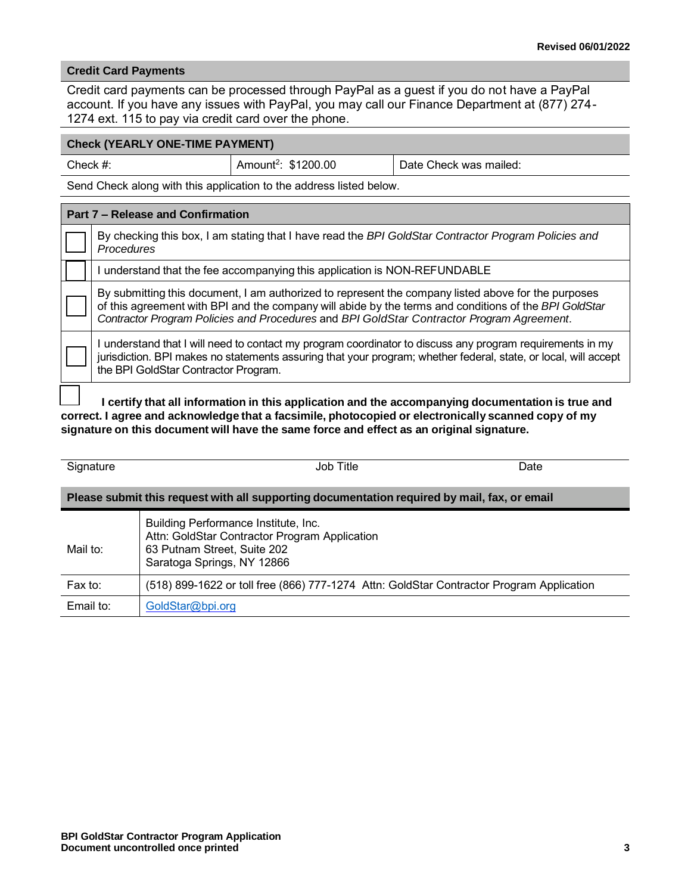## **Credit Card Payments**

Credit card payments can be processed through PayPal as a guest if you do not have a PayPal account. If you have any issues with PayPal, you may call our Finance Department at (877) 274- 1274 ext. 115 to pay via credit card over the phone.

# **Check (YEARLY ONE-TIME PAYMENT)**

| Check $#$ : |  |
|-------------|--|
|-------------|--|

Date Check was mailed:

Send Check along with this application to the address listed below.

Amount<sup>2</sup>: \$1200.00

| Part 7 – Release and Confirmation |                                                                                                                                                                                                                                                                                                           |  |  |  |
|-----------------------------------|-----------------------------------------------------------------------------------------------------------------------------------------------------------------------------------------------------------------------------------------------------------------------------------------------------------|--|--|--|
|                                   | By checking this box, I am stating that I have read the BPI GoldStar Contractor Program Policies and<br>Procedures                                                                                                                                                                                        |  |  |  |
|                                   | understand that the fee accompanying this application is NON-REFUNDABLE                                                                                                                                                                                                                                   |  |  |  |
|                                   | By submitting this document, I am authorized to represent the company listed above for the purposes<br>of this agreement with BPI and the company will abide by the terms and conditions of the BPI GoldStar<br>Contractor Program Policies and Procedures and BPI GoldStar Contractor Program Agreement. |  |  |  |
|                                   | understand that I will need to contact my program coordinator to discuss any program requirements in my<br>jurisdiction. BPI makes no statements assuring that your program; whether federal, state, or local, will accept<br>the BPI GoldStar Contractor Program.                                        |  |  |  |
|                                   | I certify that all information in this application and the accompanying documentation is true and                                                                                                                                                                                                         |  |  |  |

**correct. I agree and acknowledge that a facsimile, photocopied or electronically scanned copy of my signature on this document will have the same force and effect as an original signature.**

| Signature                                                                                    | Job Title                                                                                                                                          | Date |  |  |  |  |  |
|----------------------------------------------------------------------------------------------|----------------------------------------------------------------------------------------------------------------------------------------------------|------|--|--|--|--|--|
| Please submit this request with all supporting documentation required by mail, fax, or email |                                                                                                                                                    |      |  |  |  |  |  |
| Mail to:                                                                                     | Building Performance Institute, Inc.<br>Attn: GoldStar Contractor Program Application<br>63 Putnam Street, Suite 202<br>Saratoga Springs, NY 12866 |      |  |  |  |  |  |
| Fast to:                                                                                     | (518) 899-1622 or toll free (866) 777-1274 Attn: GoldStar Contractor Program Application                                                           |      |  |  |  |  |  |
| Email to:                                                                                    | GoldStar@bpi.org                                                                                                                                   |      |  |  |  |  |  |